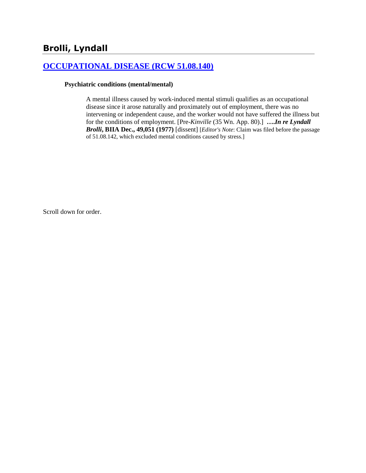## **[OCCUPATIONAL DISEASE \(RCW 51.08.140\)](http://www.biia.wa.gov/SDSubjectIndex.html#OCCUPATIONAL_DISEASE)**

## **Psychiatric conditions (mental/mental)**

A mental illness caused by work-induced mental stimuli qualifies as an occupational disease since it arose naturally and proximately out of employment, there was no intervening or independent cause, and the worker would not have suffered the illness but for the conditions of employment. [Pre-*Kinville* (35 Wn. App. 80).] **….***In re Lyndall Brolli***, BIIA Dec., 49,051 (1977)** [dissent] [*Editor's Note*: Claim was filed before the passage of 51.08.142, which excluded mental conditions caused by stress.]

Scroll down for order.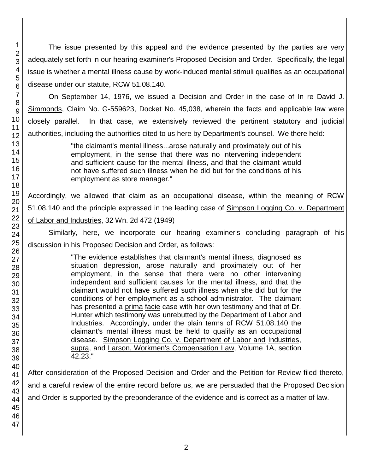The issue presented by this appeal and the evidence presented by the parties are very adequately set forth in our hearing examiner's Proposed Decision and Order. Specifically, the legal issue is whether a mental illness cause by work-induced mental stimuli qualifies as an occupational disease under our statute, RCW 51.08.140.

On September 14, 1976, we issued a Decision and Order in the case of In re David J. Simmonds, Claim No. G-559623, Docket No. 45,038, wherein the facts and applicable law were closely parallel. In that case, we extensively reviewed the pertinent statutory and judicial authorities, including the authorities cited to us here by Department's counsel. We there held:

> "the claimant's mental illness...arose naturally and proximately out of his employment, in the sense that there was no intervening independent and sufficient cause for the mental illness, and that the claimant would not have suffered such illness when he did but for the conditions of his employment as store manager."

Accordingly, we allowed that claim as an occupational disease, within the meaning of RCW 51.08.140 and the principle expressed in the leading case of Simpson Logging Co. v. Department of Labor and Industries, 32 Wn. 2d 472 (1949)

Similarly, here, we incorporate our hearing examiner's concluding paragraph of his discussion in his Proposed Decision and Order, as follows:

> "The evidence establishes that claimant's mental illness, diagnosed as situation depression, arose naturally and proximately out of her employment, in the sense that there were no other intervening independent and sufficient causes for the mental illness, and that the claimant would not have suffered such illness when she did but for the conditions of her employment as a school administrator. The claimant has presented a prima facie case with her own testimony and that of Dr. Hunter which testimony was unrebutted by the Department of Labor and Industries. Accordingly, under the plain terms of RCW 51.08.140 the claimant's mental illness must be held to qualify as an occupational disease. Simpson Logging Co. v. Department of Labor and Industries, supra, and Larson, Workmen's Compensation Law, Volume 1A, section 42.23."

After consideration of the Proposed Decision and Order and the Petition for Review filed thereto, and a careful review of the entire record before us, we are persuaded that the Proposed Decision and Order is supported by the preponderance of the evidence and is correct as a matter of law.

1 2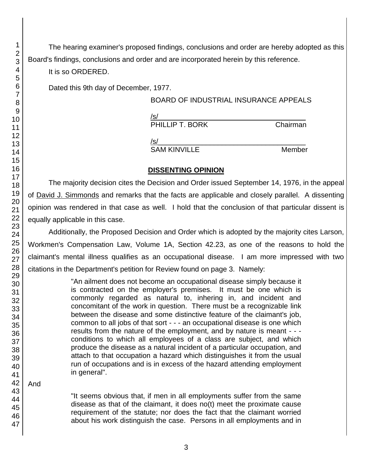The hearing examiner's proposed findings, conclusions and order are hereby adopted as this Board's findings, conclusions and order and are incorporated herein by this reference.

It is so ORDERED.

Dated this 9th day of December, 1977.

## BOARD OF INDUSTRIAL INSURANCE APPEALS

 $/$ s/ $\sim$ PHILLIP T. BORK Chairman

 $/$ s/ $\sim$ 

SAM KINVILLE Member

## **DISSENTING OPINION**

The majority decision cites the Decision and Order issued September 14, 1976, in the appeal of David J. Simmonds and remarks that the facts are applicable and closely parallel. A dissenting opinion was rendered in that case as well. I hold that the conclusion of that particular dissent is equally applicable in this case.

Additionally, the Proposed Decision and Order which is adopted by the majority cites Larson, Workmen's Compensation Law, Volume 1A, Section 42.23, as one of the reasons to hold the claimant's mental illness qualifies as an occupational disease. I am more impressed with two citations in the Department's petition for Review found on page 3. Namely:

> "An ailment does not become an occupational disease simply because it is contracted on the employer's premises. It must be one which is commonly regarded as natural to, inhering in, and incident and concomitant of the work in question. There must be a recognizable link between the disease and some distinctive feature of the claimant's job, common to all jobs of that sort - - - an occupational disease is one which results from the nature of the employment, and by nature is meant - - conditions to which all employees of a class are subject, and which produce the disease as a natural incident of a particular occupation, and attach to that occupation a hazard which distinguishes it from the usual run of occupations and is in excess of the hazard attending employment in general".

And

"It seems obvious that, if men in all employments suffer from the same disease as that of the claimant, it does no(t) meet the proximate cause requirement of the statute; nor does the fact that the claimant worried about his work distinguish the case. Persons in all employments and in

1